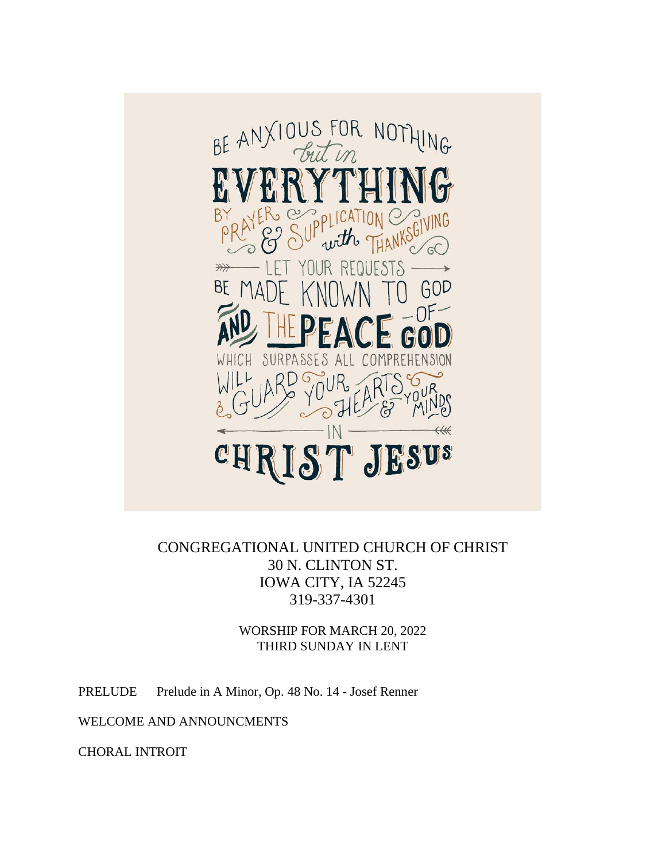

CONGREGATIONAL UNITED CHURCH OF CHRIST 30 N. CLINTON ST. IOWA CITY, IA 52245 319-337-4301

> WORSHIP FOR MARCH 20, 2022 THIRD SUNDAY IN LENT

PRELUDE Prelude in A Minor, Op. 48 No. 14 - Josef Renner

WELCOME AND ANNOUNCMENTS

CHORAL INTROIT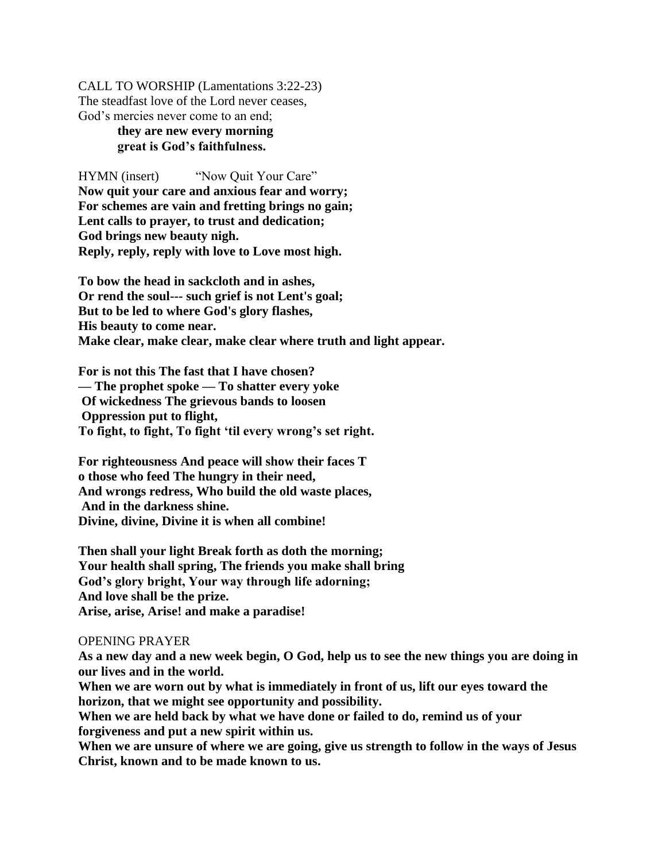CALL TO WORSHIP (Lamentations 3:22-23) The steadfast love of the Lord never ceases, God's mercies never come to an end;

# **they are new every morning great is God's faithfulness.**

HYMN (insert) "Now Ouit Your Care" **Now quit your care and anxious fear and worry; For schemes are vain and fretting brings no gain; Lent calls to prayer, to trust and dedication; God brings new beauty nigh. Reply, reply, reply with love to Love most high.** 

**To bow the head in sackcloth and in ashes, Or rend the soul--- such grief is not Lent's goal; But to be led to where God's glory flashes, His beauty to come near. Make clear, make clear, make clear where truth and light appear.** 

**For is not this The fast that I have chosen? — The prophet spoke — To shatter every yoke Of wickedness The grievous bands to loosen Oppression put to flight, To fight, to fight, To fight 'til every wrong's set right.** 

**For righteousness And peace will show their faces T o those who feed The hungry in their need, And wrongs redress, Who build the old waste places, And in the darkness shine. Divine, divine, Divine it is when all combine!** 

**Then shall your light Break forth as doth the morning; Your health shall spring, The friends you make shall bring God's glory bright, Your way through life adorning; And love shall be the prize. Arise, arise, Arise! and make a paradise!**

### OPENING PRAYER

**As a new day and a new week begin, O God, help us to see the new things you are doing in our lives and in the world.** 

**When we are worn out by what is immediately in front of us, lift our eyes toward the horizon, that we might see opportunity and possibility.**

**When we are held back by what we have done or failed to do, remind us of your forgiveness and put a new spirit within us.**

**When we are unsure of where we are going, give us strength to follow in the ways of Jesus Christ, known and to be made known to us.**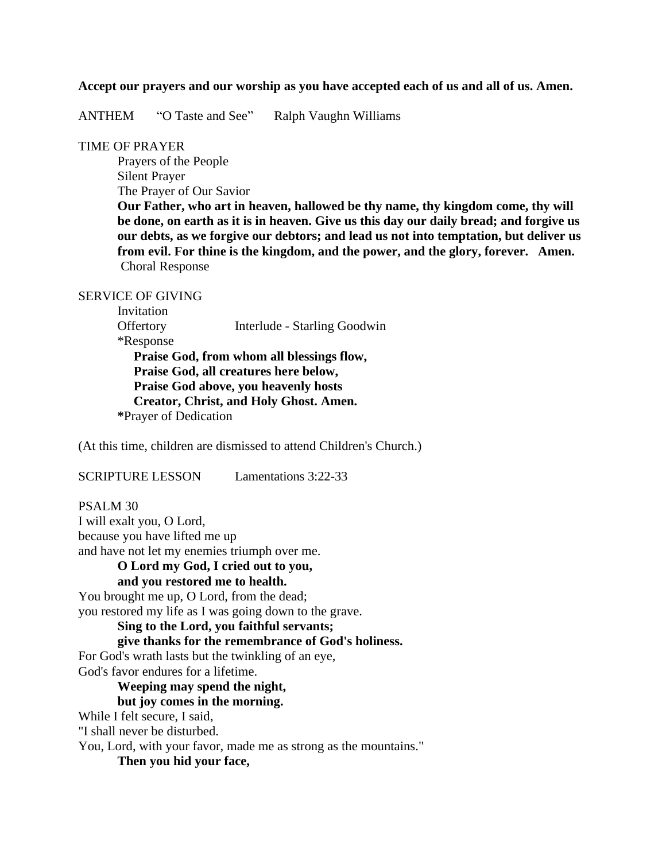### **Accept our prayers and our worship as you have accepted each of us and all of us. Amen.**

ANTHEM "O Taste and See" Ralph Vaughn Williams

## TIME OF PRAYER

Prayers of the People Silent Prayer The Prayer of Our Savior

**Our Father, who art in heaven, hallowed be thy name, thy kingdom come, thy will be done, on earth as it is in heaven. Give us this day our daily bread; and forgive us our debts, as we forgive our debtors; and lead us not into temptation, but deliver us from evil. For thine is the kingdom, and the power, and the glory, forever. Amen.** Choral Response

### SERVICE OF GIVING

Invitation Offertory Interlude - Starling Goodwin \*Response **Praise God, from whom all blessings flow, Praise God, all creatures here below, Praise God above, you heavenly hosts Creator, Christ, and Holy Ghost. Amen. \***Prayer of Dedication

(At this time, children are dismissed to attend Children's Church.)

SCRIPTURE LESSON Lamentations 3:22-33

PSALM 30 I will exalt you, O Lord, because you have lifted me up and have not let my enemies triumph over me.

### **O Lord my God, I cried out to you, and you restored me to health.**

You brought me up, O Lord, from the dead; you restored my life as I was going down to the grave.

## **Sing to the Lord, you faithful servants;**

## **give thanks for the remembrance of God's holiness.**

For God's wrath lasts but the twinkling of an eye, God's favor endures for a lifetime.

## **Weeping may spend the night,**

## **but joy comes in the morning.**

While I felt secure, I said,

"I shall never be disturbed.

You, Lord, with your favor, made me as strong as the mountains."

**Then you hid your face,**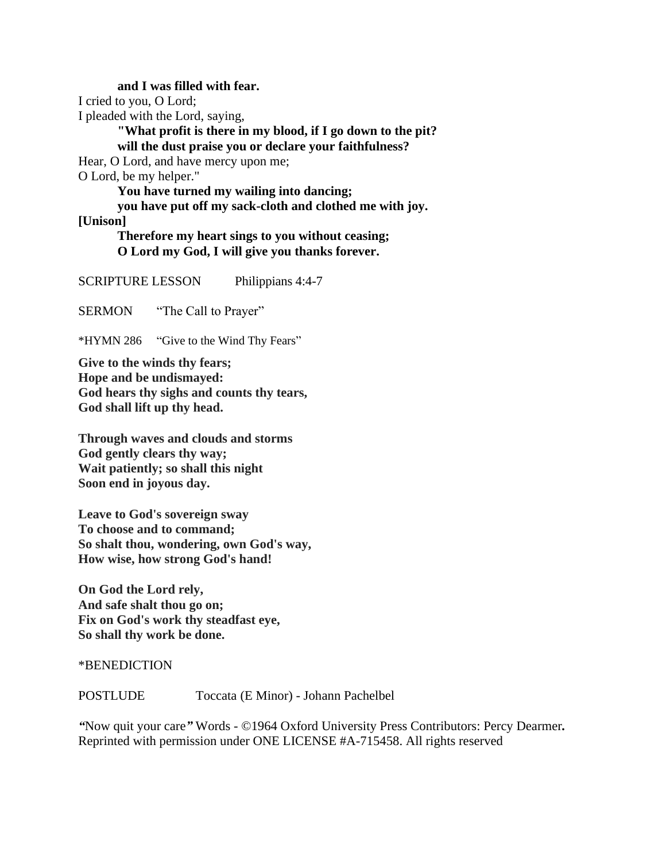**and I was filled with fear.**  I cried to you, O Lord; I pleaded with the Lord, saying, **"What profit is there in my blood, if I go down to the pit? will the dust praise you or declare your faithfulness?** Hear, O Lord, and have mercy upon me; O Lord, be my helper." **You have turned my wailing into dancing; you have put off my sack-cloth and clothed me with joy. [Unison]**

**Therefore my heart sings to you without ceasing; O Lord my God, I will give you thanks forever.**

SCRIPTURE LESSON Philippians 4:4-7

SERMON "The Call to Prayer"

\*HYMN 286 "Give to the Wind Thy Fears"

**Give to the winds thy fears; Hope and be undismayed: God hears thy sighs and counts thy tears, God shall lift up thy head.**

**Through waves and clouds and storms God gently clears thy way; Wait patiently; so shall this night Soon end in joyous day.**

**Leave to God's sovereign sway To choose and to command; So shalt thou, wondering, own God's way, How wise, how strong God's hand!**

**On God the Lord rely, And safe shalt thou go on; Fix on God's work thy steadfast eye, So shall thy work be done.**

\*BENEDICTION

POSTLUDE Toccata (E Minor) - Johann Pachelbel

*"*Now quit your care*"* Words - ©1964 Oxford University Press Contributors: Percy Dearmer*.*  Reprinted with permission under ONE LICENSE #A-715458. All rights reserved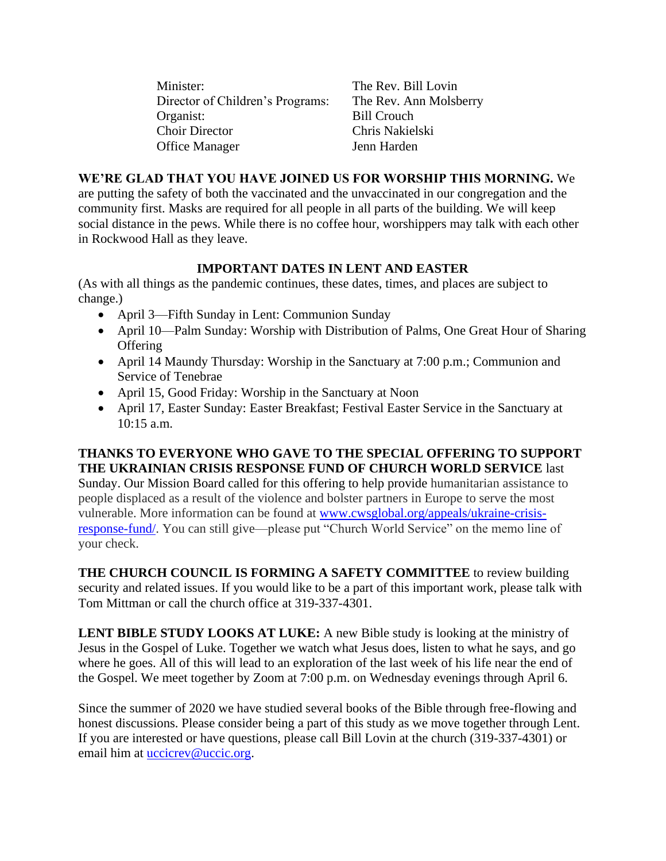Minister: The Rev. Bill Lovin Director of Children's Programs: The Rev. Ann Molsberry Organist: Bill Crouch Choir Director Chris Nakielski Office Manager Jenn Harden

## **WE'RE GLAD THAT YOU HAVE JOINED US FOR WORSHIP THIS MORNING.** We

are putting the safety of both the vaccinated and the unvaccinated in our congregation and the community first. Masks are required for all people in all parts of the building. We will keep social distance in the pews. While there is no coffee hour, worshippers may talk with each other in Rockwood Hall as they leave.

## **IMPORTANT DATES IN LENT AND EASTER**

(As with all things as the pandemic continues, these dates, times, and places are subject to change.)

- April 3—Fifth Sunday in Lent: Communion Sunday
- April 10—Palm Sunday: Worship with Distribution of Palms, One Great Hour of Sharing **Offering**
- April 14 Maundy Thursday: Worship in the Sanctuary at 7:00 p.m.; Communion and Service of Tenebrae
- April 15, Good Friday: Worship in the Sanctuary at Noon
- April 17, Easter Sunday: Easter Breakfast; Festival Easter Service in the Sanctuary at 10:15 a.m.

# **THANKS TO EVERYONE WHO GAVE TO THE SPECIAL OFFERING TO SUPPORT THE UKRAINIAN CRISIS RESPONSE FUND OF CHURCH WORLD SERVICE** last

Sunday. Our Mission Board called for this offering to help provide humanitarian assistance to people displaced as a result of the violence and bolster partners in Europe to serve the most vulnerable. More information can be found at [www.cwsglobal.org/appeals/ukraine-crisis](http://www.cwsglobal.org/appeals/ukraine-crisis-response-fund/)[response-fund/.](http://www.cwsglobal.org/appeals/ukraine-crisis-response-fund/) You can still give—please put "Church World Service" on the memo line of your check.

**THE CHURCH COUNCIL IS FORMING A SAFETY COMMITTEE** to review building security and related issues. If you would like to be a part of this important work, please talk with Tom Mittman or call the church office at 319-337-4301.

**LENT BIBLE STUDY LOOKS AT LUKE:** A new Bible study is looking at the ministry of Jesus in the Gospel of Luke. Together we watch what Jesus does, listen to what he says, and go where he goes. All of this will lead to an exploration of the last week of his life near the end of the Gospel. We meet together by Zoom at 7:00 p.m. on Wednesday evenings through April 6.

Since the summer of 2020 we have studied several books of the Bible through free-flowing and honest discussions. Please consider being a part of this study as we move together through Lent. If you are interested or have questions, please call Bill Lovin at the church (319-337-4301) or email him at **uccicrev@uccic.org**.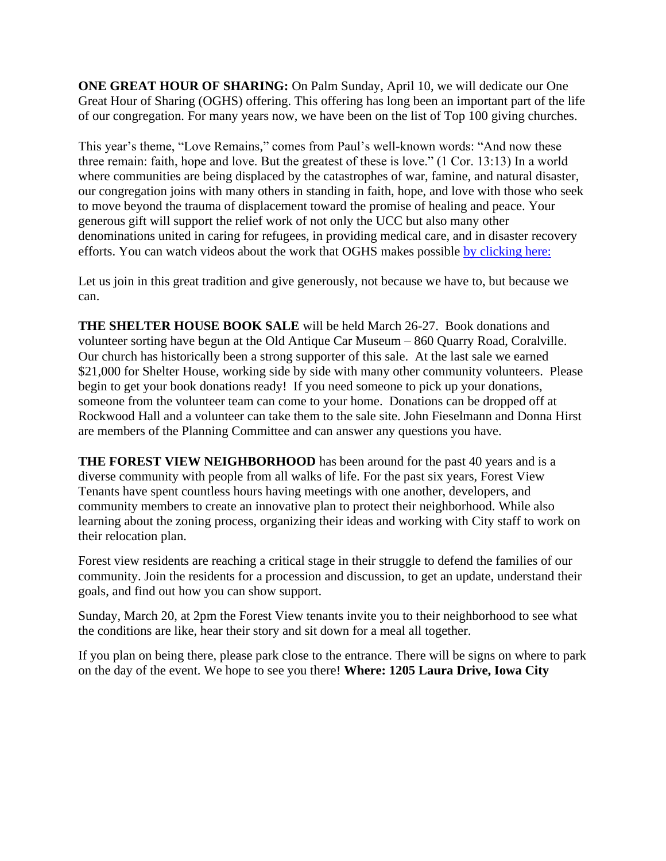**ONE GREAT HOUR OF SHARING:** On Palm Sunday, April 10, we will dedicate our One Great Hour of Sharing (OGHS) offering. This offering has long been an important part of the life of our congregation. For many years now, we have been on the list of Top 100 giving churches.

This year's theme, "Love Remains," comes from Paul's well-known words: "And now these three remain: faith, hope and love. But the greatest of these is love." (1 Cor. 13:13) In a world where communities are being displaced by the catastrophes of war, famine, and natural disaster, our congregation joins with many others in standing in faith, hope, and love with those who seek to move beyond the trauma of displacement toward the promise of healing and peace. Your generous gift will support the relief work of not only the UCC but also many other denominations united in caring for refugees, in providing medical care, and in disaster recovery efforts. You can watch videos about the work that OGHS makes possible [by clicking here:](https://www.ucc.org/oghs_oghs-videos/)

Let us join in this great tradition and give generously, not because we have to, but because we can.

**THE SHELTER HOUSE BOOK SALE** will be held March 26-27. Book donations and volunteer sorting have begun at the Old Antique Car Museum – 860 Quarry Road, Coralville. Our church has historically been a strong supporter of this sale. At the last sale we earned \$21,000 for Shelter House, working side by side with many other community volunteers. Please begin to get your book donations ready! If you need someone to pick up your donations, someone from the volunteer team can come to your home. Donations can be dropped off at Rockwood Hall and a volunteer can take them to the sale site. John Fieselmann and Donna Hirst are members of the Planning Committee and can answer any questions you have.

**THE FOREST VIEW NEIGHBORHOOD** has been around for the past 40 years and is a diverse community with people from all walks of life. For the past six years, Forest View Tenants have spent countless hours having meetings with one another, developers, and community members to create an innovative plan to protect their neighborhood. While also learning about the zoning process, organizing their ideas and working with City staff to work on their relocation plan.

Forest view residents are reaching a critical stage in their struggle to defend the families of our community. Join the residents for a procession and discussion, to get an update, understand their goals, and find out how you can show support.

Sunday, March 20, at 2pm the Forest View tenants invite you to their neighborhood to see what the conditions are like, hear their story and sit down for a meal all together.

If you plan on being there, please park close to the entrance. There will be signs on where to park on the day of the event. We hope to see you there! **Where: 1205 Laura Drive, Iowa City**